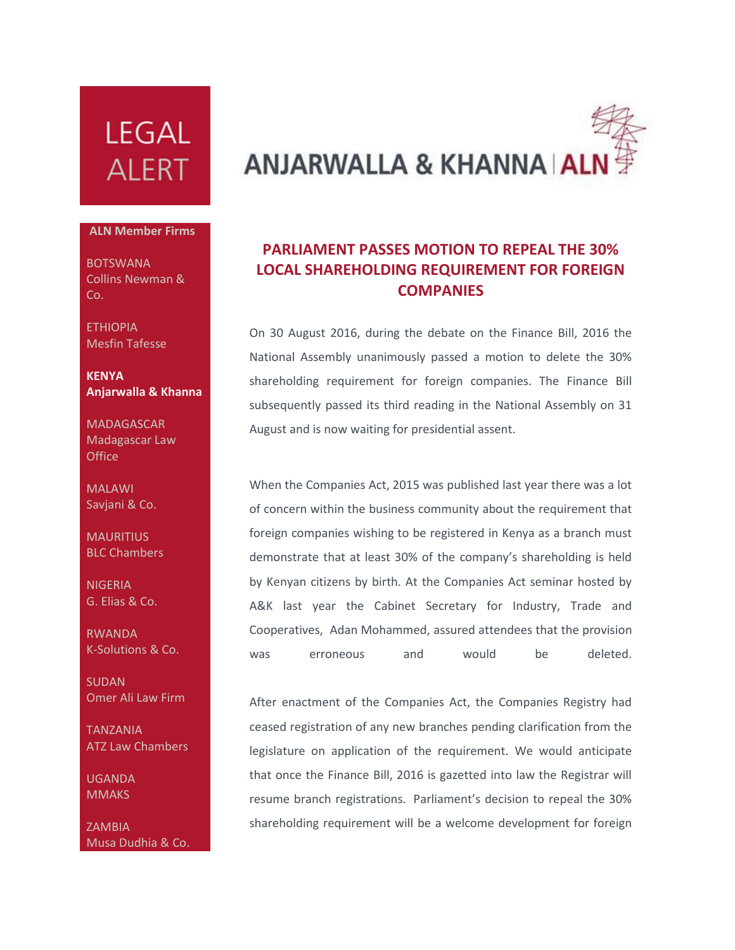## **LEGAL ALERT**

## **ALN Member Firms**

BOTSWANA Collins Newman & Co.

**FTHIOPIA** Mesfin Tafesse

**KENYA Anjarwalla & Khanna**

**MADAGASCAR** Madagascar Law **Office** 

MALAWI Savjani & Co.

**MAURITIUS** BLC Chambers

**NIGERIA** G. Elias & Co.

RWANDA K-Solutions & Co.

SUDAN Omer Ali Law Firm

TANZANIA ATZ Law Chambers

UGANDA **MMAKS** 

ZAMBIA Musa Dudhia & Co.

## **ANJARWALLA & KHANNA AI**

## **PARLIAMENT PASSES MOTION TO REPEAL THE 30% LOCAL SHAREHOLDING REQUIREMENT FOR FOREIGN COMPANIES**

On 30 August 2016, during the debate on the Finance Bill, 2016 the National Assembly unanimously passed a motion to delete the 30% shareholding requirement for foreign companies. The Finance Bill subsequently passed its third reading in the National Assembly on 31 August and is now waiting for presidential assent.

When the Companies Act, 2015 was published last year there was a lot of concern within the business community about the requirement that foreign companies wishing to be registered in Kenya as a branch must demonstrate that at least 30% of the company's shareholding is held by Kenyan citizens by birth. At the Companies Act seminar hosted by A&K last year the Cabinet Secretary for Industry, Trade and Cooperatives, Adan Mohammed, assured attendees that the provision was erroneous and would be deleted.

After enactment of the Companies Act, the Companies Registry had ceased registration of any new branches pending clarification from the legislature on application of the requirement. We would anticipate that once the Finance Bill, 2016 is gazetted into law the Registrar will resume branch registrations. Parliament's decision to repeal the 30% shareholding requirement will be a welcome development for foreign